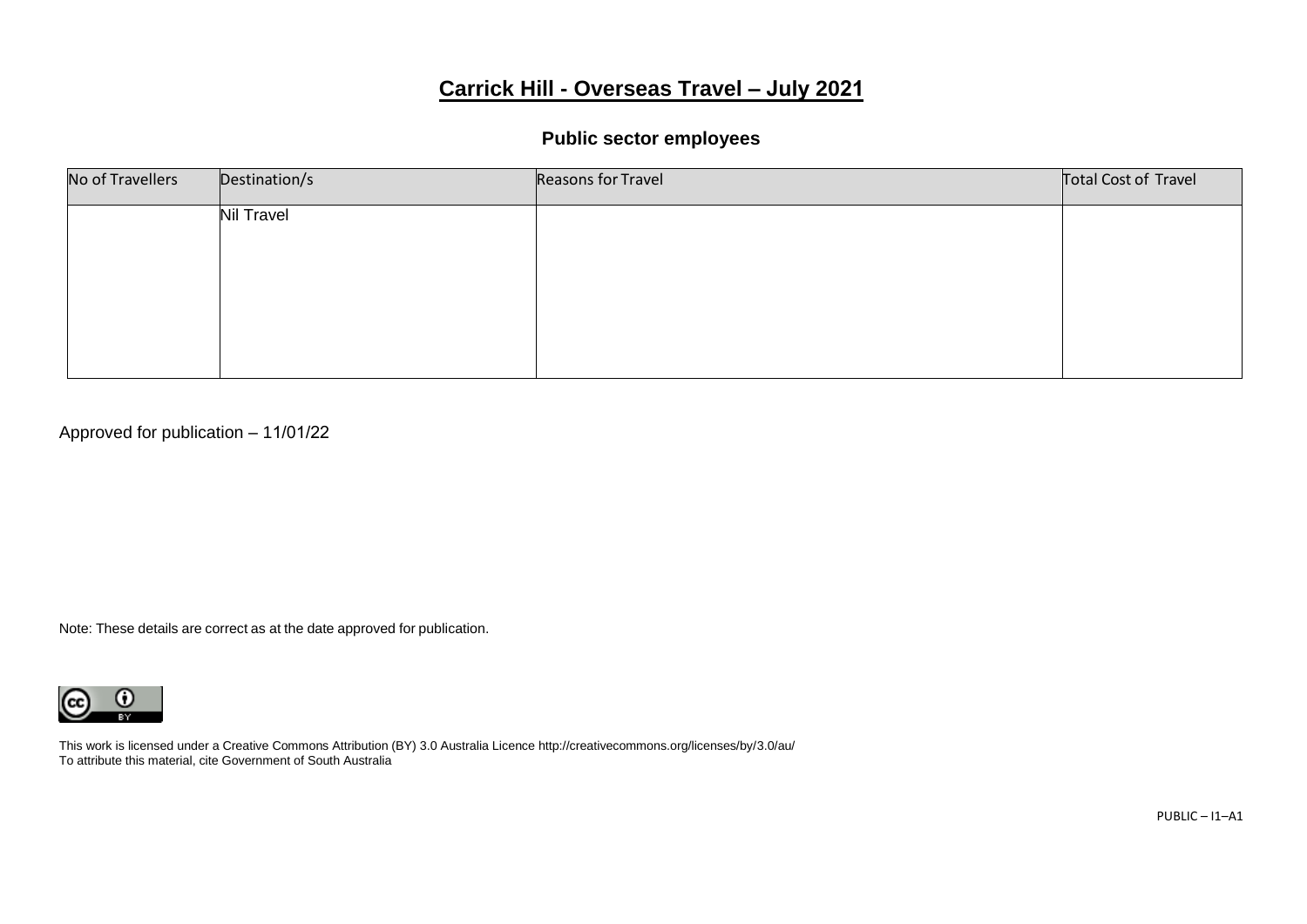# **Carrick Hill - Overseas Travel – July 2021**

#### **Public sector employees**

| No of Travellers | Destination/s     | Reasons for Travel | Total Cost of Travel |
|------------------|-------------------|--------------------|----------------------|
|                  | <b>Nil Travel</b> |                    |                      |
|                  |                   |                    |                      |
|                  |                   |                    |                      |
|                  |                   |                    |                      |
|                  |                   |                    |                      |

Approved for publication – 11/01/22

Note: These details are correct as at the date approved for publication.

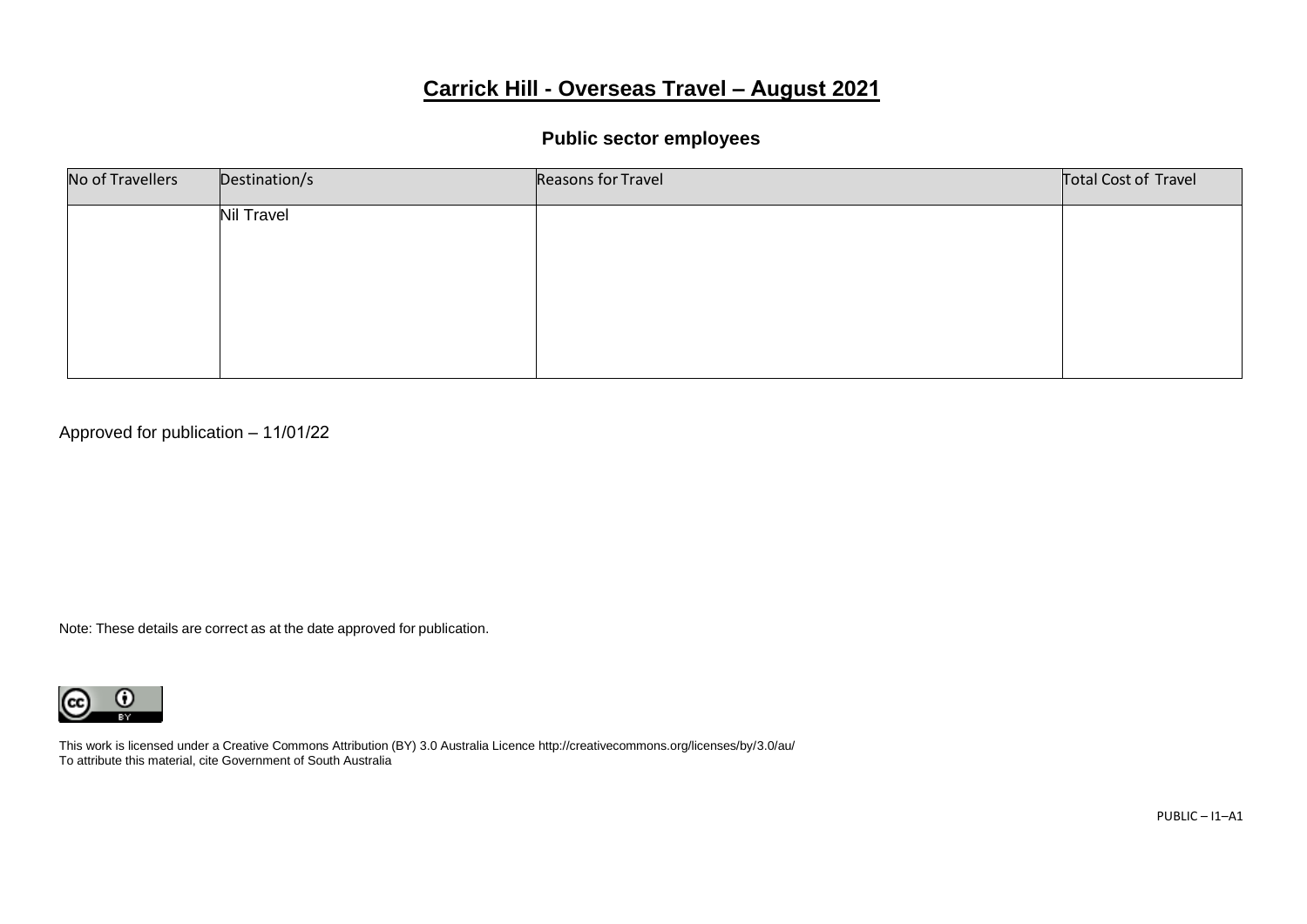# **Carrick Hill - Overseas Travel – August 2021**

#### **Public sector employees**

| No of Travellers | Destination/s     | Reasons for Travel | Total Cost of Travel |
|------------------|-------------------|--------------------|----------------------|
|                  | <b>Nil Travel</b> |                    |                      |
|                  |                   |                    |                      |
|                  |                   |                    |                      |
|                  |                   |                    |                      |
|                  |                   |                    |                      |

Approved for publication – 11/01/22

Note: These details are correct as at the date approved for publication.

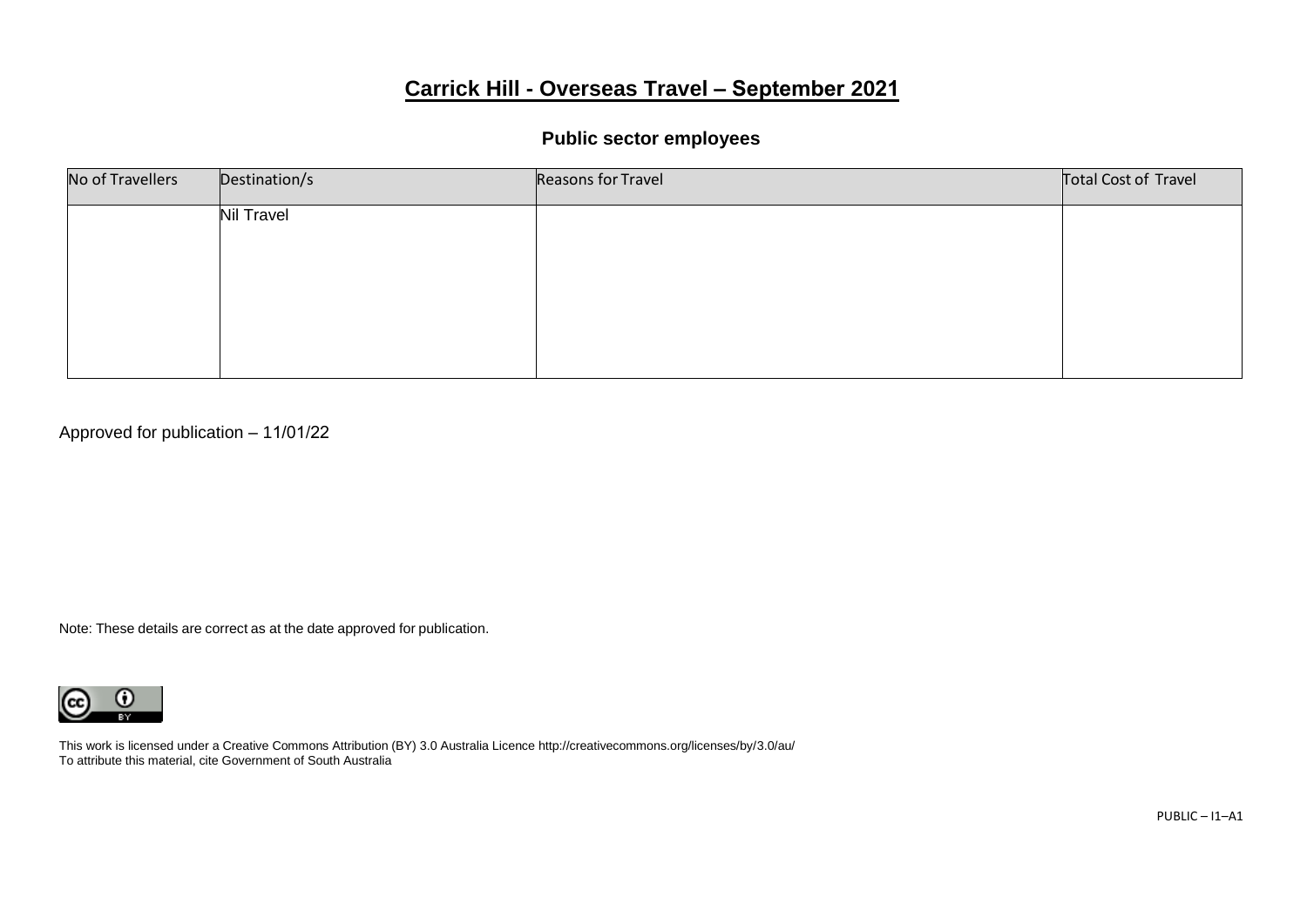# **Carrick Hill - Overseas Travel – September 2021**

#### **Public sector employees**

| No of Travellers | Destination/s     | Reasons for Travel | Total Cost of Travel |
|------------------|-------------------|--------------------|----------------------|
|                  | <b>Nil Travel</b> |                    |                      |
|                  |                   |                    |                      |
|                  |                   |                    |                      |
|                  |                   |                    |                      |
|                  |                   |                    |                      |

Approved for publication – 11/01/22

Note: These details are correct as at the date approved for publication.

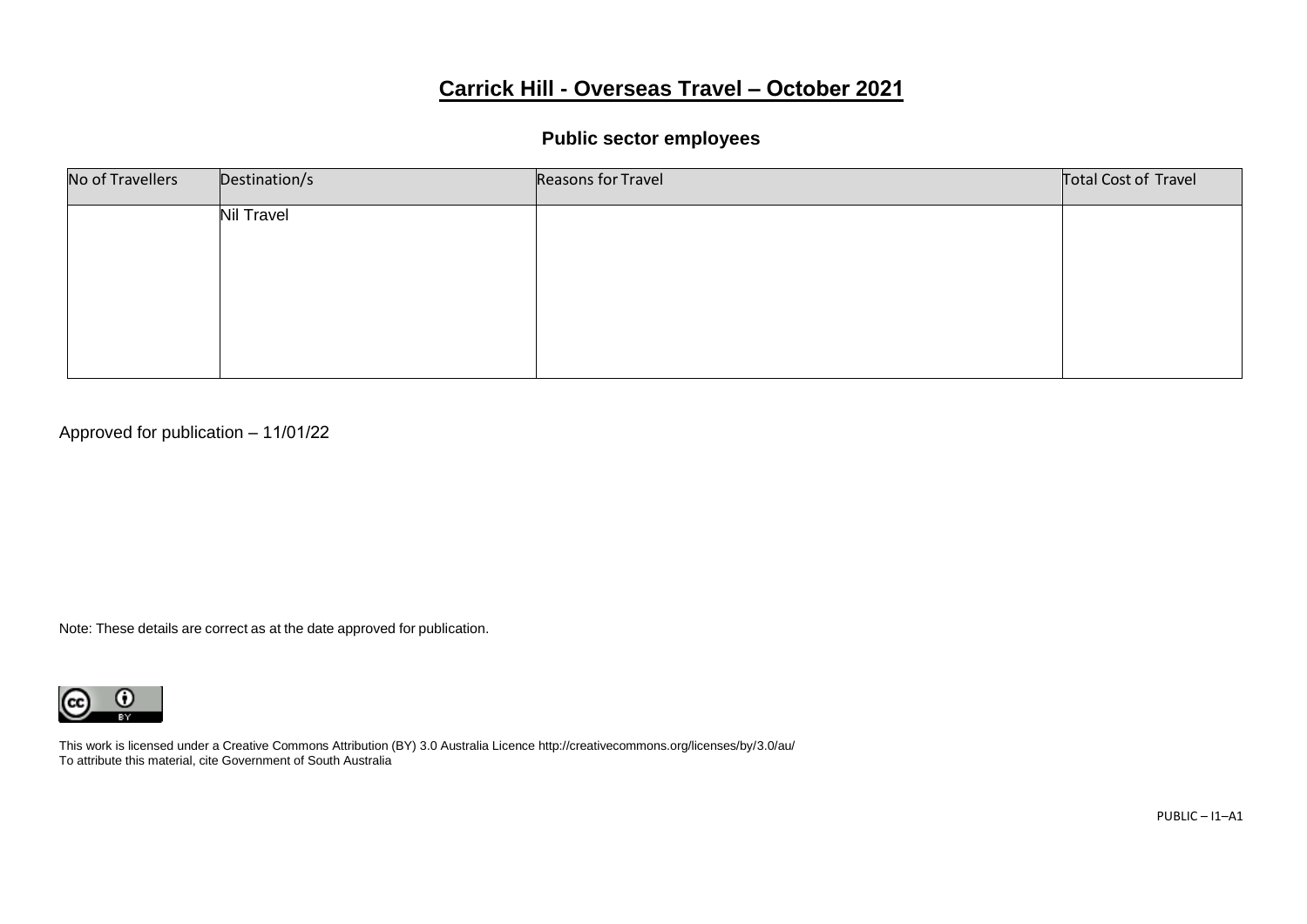# **Carrick Hill - Overseas Travel – October 2021**

# **Public sector employees**

| No of Travellers | Destination/s     | Reasons for Travel | Total Cost of Travel |
|------------------|-------------------|--------------------|----------------------|
|                  | <b>Nil Travel</b> |                    |                      |
|                  |                   |                    |                      |
|                  |                   |                    |                      |
|                  |                   |                    |                      |
|                  |                   |                    |                      |

Approved for publication – 11/01/22

Note: These details are correct as at the date approved for publication.

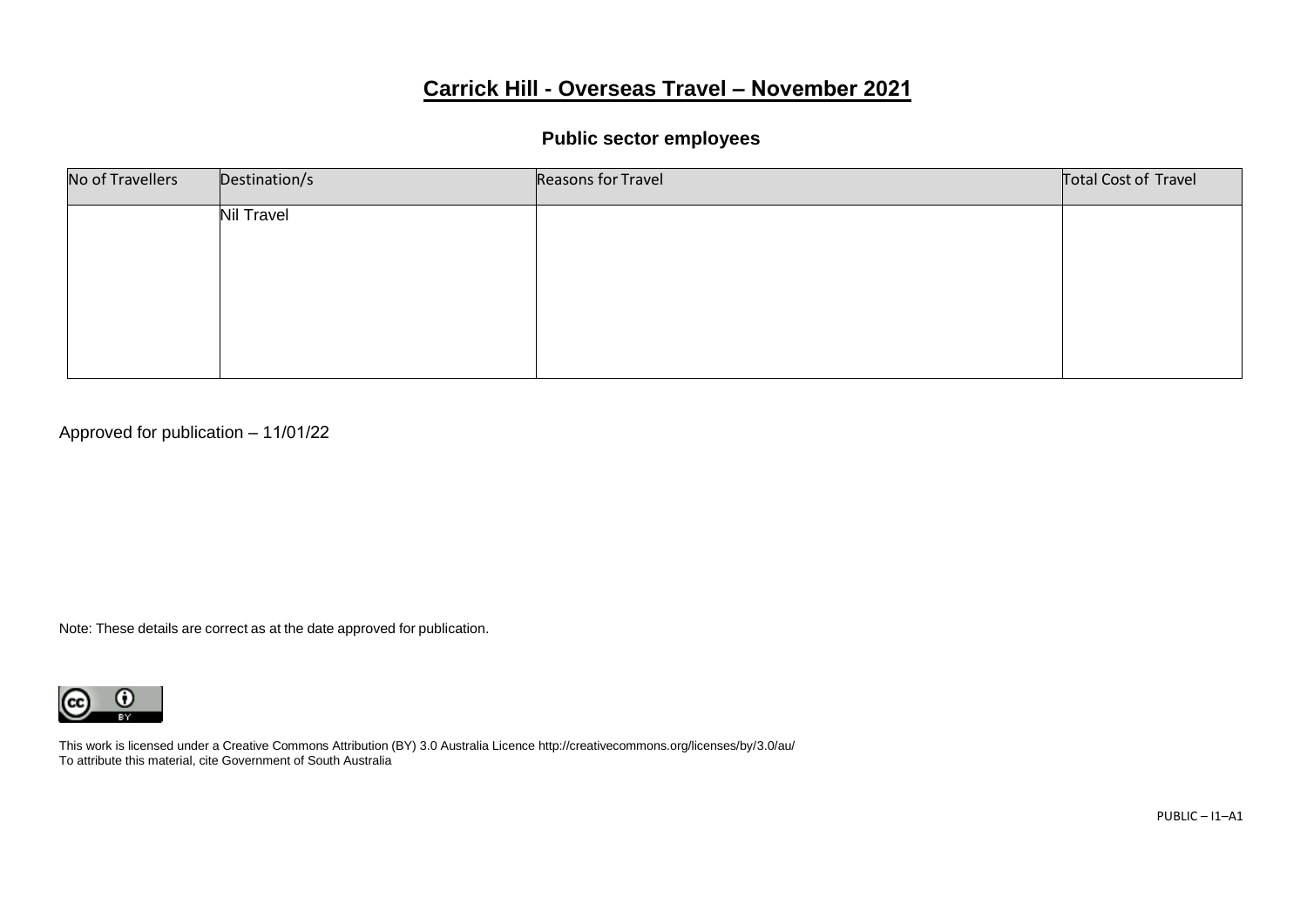# **Carrick Hill - Overseas Travel – November 2021**

#### **Public sector employees**

| No of Travellers | Destination/s     | Reasons for Travel | Total Cost of Travel |
|------------------|-------------------|--------------------|----------------------|
|                  | <b>Nil Travel</b> |                    |                      |
|                  |                   |                    |                      |
|                  |                   |                    |                      |
|                  |                   |                    |                      |
|                  |                   |                    |                      |

Approved for publication – 11/01/22

Note: These details are correct as at the date approved for publication.